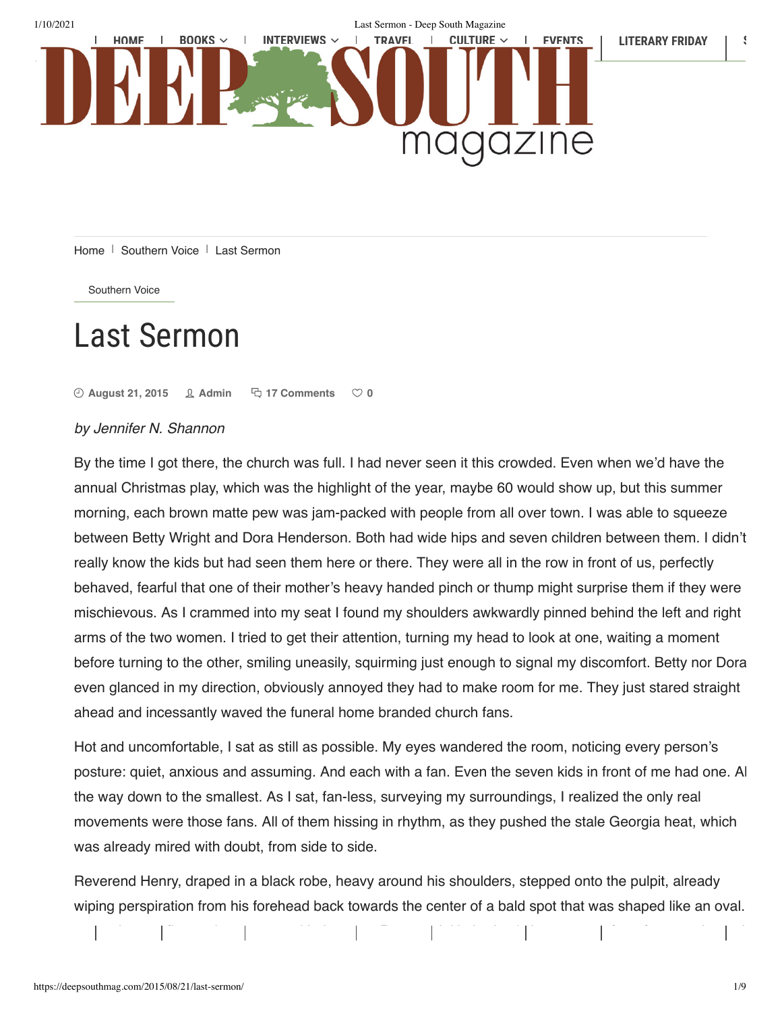

Home  $\perp$  Southern Voice  $\perp$  Last Sermon

Southern Voice

# **Last Sermon**

 $\Theta$  August 21, 2015  $\Omega$  Admin  $\Box$  17 Comments  $\heartsuit$  0

## by Jennifer N. Shannon

By the time I got there, the church was full. I had never seen it this crowded. Even when we'd have the annual Christmas play, which was the highlight of the year, maybe 60 would show up, but this summer morning, each brown matte pew was jam-packed with people from all over town. I was able to squeeze between Betty Wright and Dora Henderson. Both had wide hips and seven children between them. I didn·t really know the kids but had seen them here or there. They were all in the row in front of us, perfectly behaved, fearful that one of their mother·s heavy handed pinch or thump might surprise them if they were mischievous. As I crammed into my seat I found my shoulders awkwardly pinned behind the left and right arms of the two women. I tried to get their attention, turning my head to look at one, waiting a moment before turning to the other, smiling uneasily, squirming just enough to signal my discomfort. Betty nor Dora even glanced in my direction, obviously annoyed they had to make room for me. They just stared straight ahead and incessantly waved the funeral home branded church fans.

Hot and uncomfortable, I sat as still as possible. My eyes wandered the room, noticing every person·s posture: quiet, anxious and assuming. And each with a fan. Even the seven kids in front of me had one. Al the way down to the smallest. As I sat, fan-less, surveying my surroundings, I realized the only real movements were those fans. All of them hissing in rhythm, as they pushed the stale Georgia heat, which was already mired with doubt, from side to side.

Reverend Henry, draped in a black robe, heavy around his shoulders, stepped onto the pulpit, already wiping perspiration from his forehead back towards the center of a bald spot that was shaped like an oval.

remember my Àrst real encounter with the great Reverend. He had only been pastor for a few months and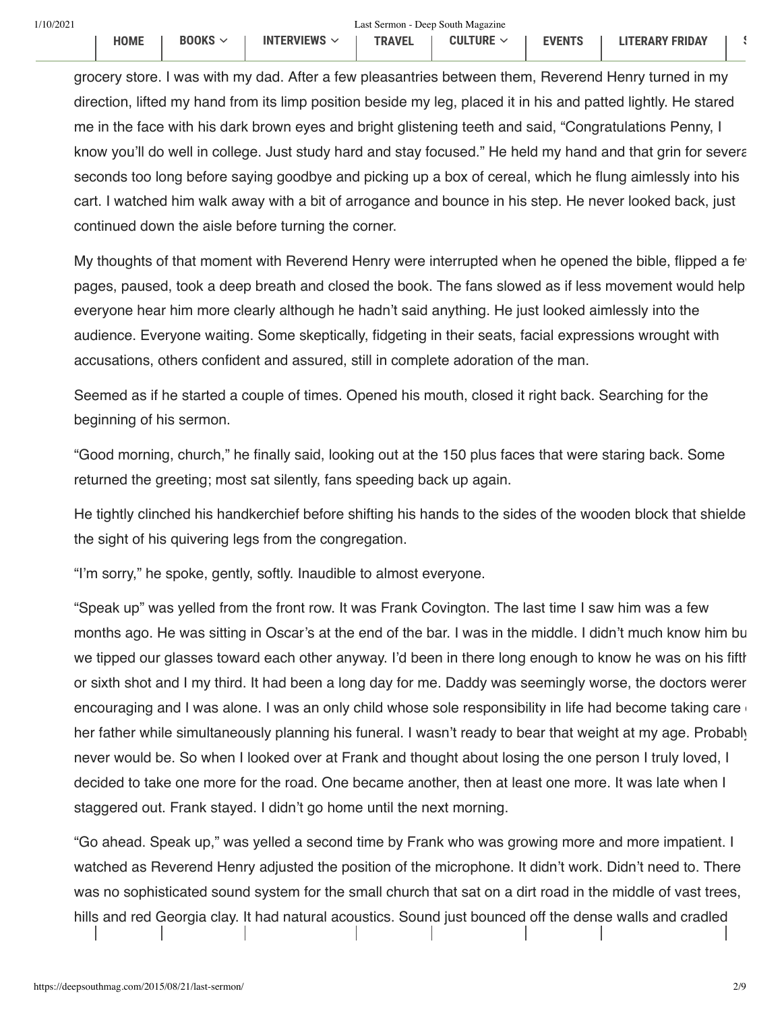grocery store. I was with my dad. After a few pleasantries between them, Reverend Henry turned in my direction, lifted my hand from its limp position beside my leg, placed it in his and patted lightly. He stared me in the face with his dark brown eyes and bright glistening teeth and said, "Congratulations Penny, I know you'll do well in college. Just study hard and stay focused." He held my hand and that grin for several seconds too long before saying goodbye and picking up a box of cereal, which he flung aimlessly into his cart. I watched him walk away with a bit of arrogance and bounce in his step. He never looked back, just continued down the aisle before turning the corner.

My thoughts of that moment with Reverend Henry were interrupted when he opened the bible, flipped a few pages, paused, took a deep breath and closed the book. The fans slowed as if less movement would help everyone hear him more clearly although he hadn't said anything. He just looked aimlessly into the audience. Everyone waiting. Some skeptically, fidgeting in their seats, facial expressions wrought with accusations, others confident and assured, still in complete adoration of the man.

Seemed as if he started a couple of times. Opened his mouth, closed it right back. Searching for the beginning of his sermon.

"Good morning, church," he finally said, looking out at the 150 plus faces that were staring back. Some returned the greeting; most sat silently, fans speeding back up again.

He tightly clinched his handkerchief before shifting his hands to the sides of the wooden block that shielde the sight of his quivering legs from the congregation.

"I'm sorry," he spoke, gently, softly. Inaudible to almost everyone.

"Speak up" was yelled from the front row. It was Frank Covington. The last time I saw him was a few months ago. He was sitting in Oscar's at the end of the bar. I was in the middle. I didn't much know him bu we tipped our glasses toward each other anyway. I'd been in there long enough to know he was on his fifth or sixth shot and I my third. It had been a long day for me. Daddy was seemingly worse, the doctors weren encouraging and I was alone. I was an only child whose sole responsibility in life had become taking care her father while simultaneously planning his funeral. I wasn't ready to bear that weight at my age. Probably never would be. So when I looked over at Frank and thought about losing the one person I truly loved, I decided to take one more for the road. One became another, then at least one more. It was late when I staggered out. Frank stayed. I didn't go home until the next morning.

´Go ahead. Speak up,µ was yelled a second time by Frank who was growing more and more impatient. I watched as Reverend Henry adjusted the position of the microphone. It didn't work. Didn't need to. There was no sophisticated sound system for the small church that sat on a dirt road in the middle of vast trees, hills and red Georgia clay. It had natural acoustics. Sound just bounced off the dense walls and cradled

deep within the entire space Besides Reverend Henry·s voice was deep and strong He·d say ´open your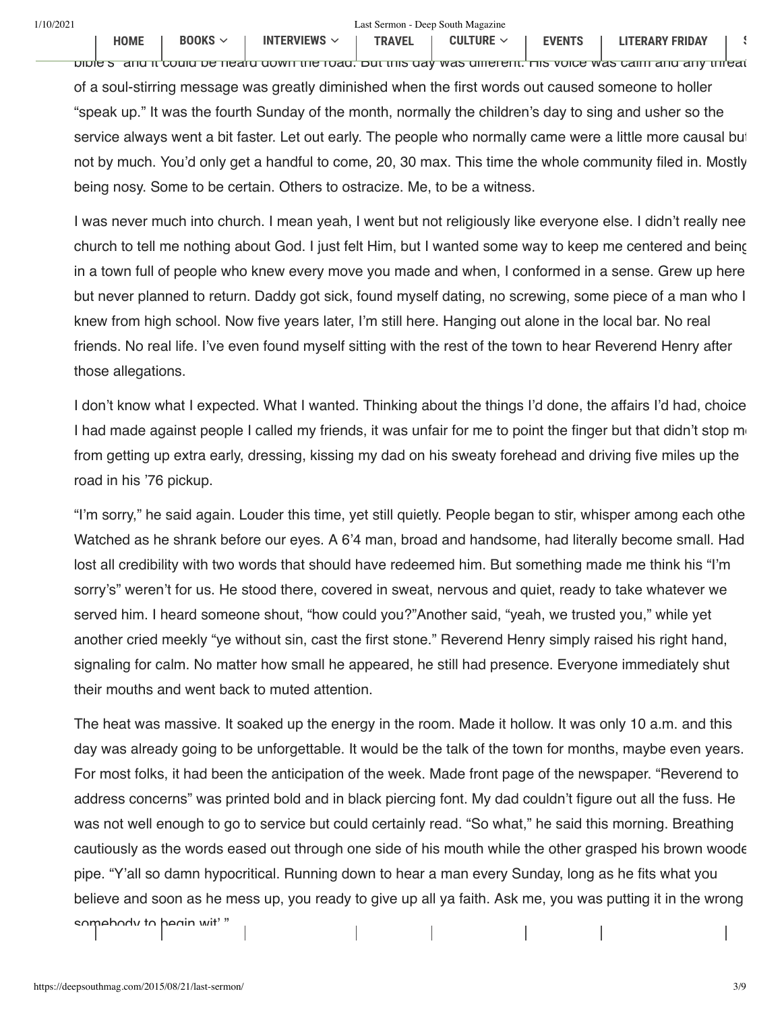bible s~and it could be heard down the road. But this day was different. His voice was calm and any threat of a soul-stirring message was greatly diminished when the first words out caused someone to holler ´speak up.µ It was the fourth Sunday of the month, normally the children·s day to sing and usher so the service always went a bit faster. Let out early. The people who normally came were a little more causal but not by much. You'd only get a handful to come, 20, 30 max. This time the whole community filed in. Mostly being nosy. Some to be certain. Others to ostracize. Me, to be a witness.

I was never much into church. I mean yeah, I went but not religiously like everyone else. I didn·t really nee church to tell me nothing about God. I just felt Him, but I wanted some way to keep me centered and being in a town full of people who knew every move you made and when, I conformed in a sense. Grew up here but never planned to return. Daddy got sick, found myself dating, no screwing, some piece of a man who I knew from high school. Now five years later, I'm still here. Hanging out alone in the local bar. No real friends. No real life. I·ve even found myself sitting with the rest of the town to hear Reverend Henry after those allegations.

I don't know what I expected. What I wanted. Thinking about the things I'd done, the affairs I'd had, choice I had made against people I called my friends, it was unfair for me to point the finger but that didn't stop me from getting up extra early, dressing, kissing my dad on his sweaty forehead and driving five miles up the road in his '76 pickup.

´I·m sorry,µ he said again. Louder this time, yet still quietly. People began to stir, whisper among each othe Watched as he shrank before our eyes. A 6'4 man, broad and handsome, had literally become small. Had lost all credibility with two words that should have redeemed him. But something made me think his "I'm sorry's" weren't for us. He stood there, covered in sweat, nervous and quiet, ready to take whatever we served him. I heard someone shout, "how could you?"Another said, "yeah, we trusted you," while yet another cried meekly "ye without sin, cast the first stone." Reverend Henry simply raised his right hand, signaling for calm. No matter how small he appeared, he still had presence. Everyone immediately shut their mouths and went back to muted attention.

The heat was massive. It soaked up the energy in the room. Made it hollow. It was only 10 a.m. and this day was already going to be unforgettable. It would be the talk of the town for months, maybe even years. For most folks, it had been the anticipation of the week. Made front page of the newspaper. "Reverend to address concerns" was printed bold and in black piercing font. My dad couldn't figure out all the fuss. He was not well enough to go to service but could certainly read. "So what," he said this morning. Breathing cautiously as the words eased out through one side of his mouth while the other grasped his brown woode pipe. "Y'all so damn hypocritical. Running down to hear a man every Sunday, long as he fits what you believe and soon as he mess up, you ready to give up all ya faith. Ask me, you was putting it in the wrong somehody to hegin wit<sup>.</sup> '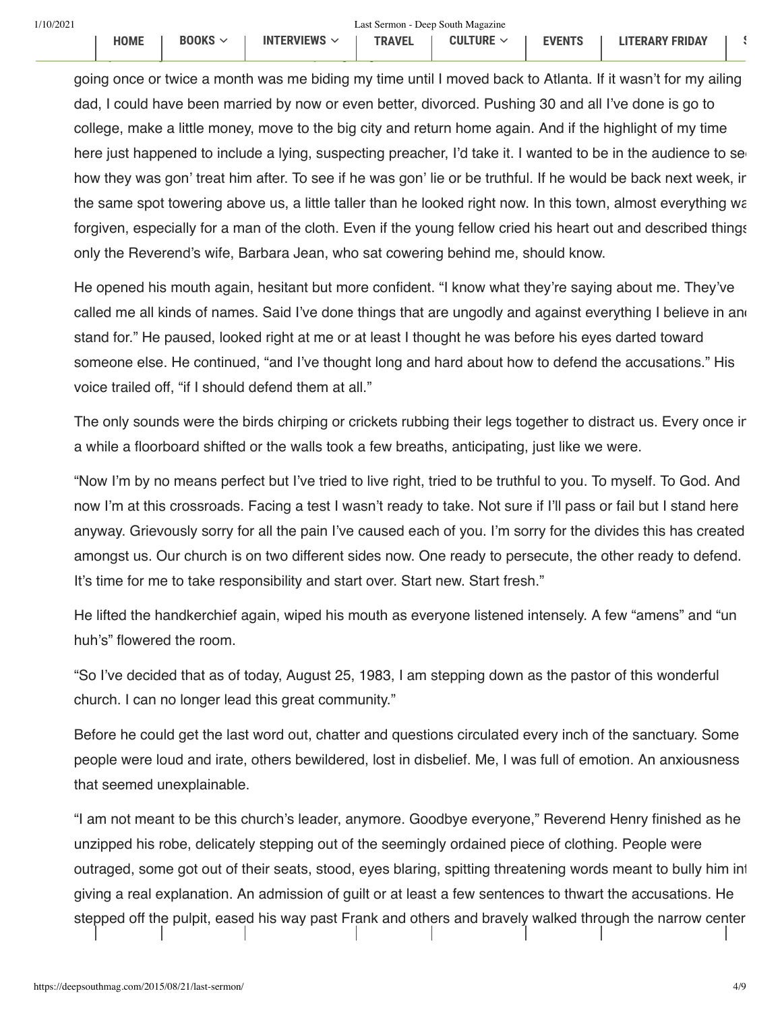going once or twice a month was me biding my time until I moved back to Atlanta. If it wasn't for my ailing dad, I could have been married by now or even better, divorced. Pushing 30 and all I·ve done is go to college, make a little money, move to the big city and return home again. And if the highlight of my time here just happened to include a lying, suspecting preacher, I'd take it. I wanted to be in the audience to se how they was gon' treat him after. To see if he was gon' lie or be truthful. If he would be back next week, ir the same spot towering above us, a little taller than he looked right now. In this town, almost everything wa forgiven, especially for a man of the cloth. Even if the young fellow cried his heart out and described things only the Reverend's wife, Barbara Jean, who sat cowering behind me, should know.

He opened his mouth again, hesitant but more confident. "I know what they're saying about me. They've called me all kinds of names. Said I've done things that are ungodly and against everything I believe in and stand for." He paused, looked right at me or at least I thought he was before his eyes darted toward someone else. He continued, "and I've thought long and hard about how to defend the accusations." His voice trailed off, "if I should defend them at all."

The only sounds were the birds chirping or crickets rubbing their legs together to distract us. Every once in a while a floorboard shifted or the walls took a few breaths, anticipating, just like we were.

´Now I·m by no means perfect but I·ve tried to live right, tried to be truthful to you. To myself. To God. And now I'm at this crossroads. Facing a test I wasn't ready to take. Not sure if I'll pass or fail but I stand here anyway. Grievously sorry for all the pain I·ve caused each of you. I·m sorry for the divides this has created amongst us. Our church is on two different sides now. One ready to persecute, the other ready to defend. It's time for me to take responsibility and start over. Start new. Start fresh."

He lifted the handkerchief again, wiped his mouth as everyone listened intensely. A few "amens" and "un huh's" flowered the room.

´So I·ve decided that as of today, August 25, 1983, I am stepping down as the pastor of this wonderful church. I can no longer lead this great community."

Before he could get the last word out, chatter and questions circulated every inch of the sanctuary. Some people were loud and irate, others bewildered, lost in disbelief. Me, I was full of emotion. An anxiousness that seemed unexplainable.

´I am not meant to be this church·s leader, anymore. Goodbye everyone,µ Reverend Henry Ànished as he unzipped his robe, delicately stepping out of the seemingly ordained piece of clothing. People were outraged, some got out of their seats, stood, eyes blaring, spitting threatening words meant to bully him int giving a real explanation. An admission of guilt or at least a few sentences to thwart the accusations. He stepped off the pulpit, eased his way past Frank and others and bravely walked through the narrow center

i l H d t i hi b i hi b i hi b i hi b i hi b i hi b i hi b i hi b i hi b i hi b i hi b i hi b i hi b i hi b i<br>D t i hi i hi b i hi b i hi b i hi b i hi b i hi b i hi b i hi b i hi b i hi b i hi b i hi b i hi b i hi b i h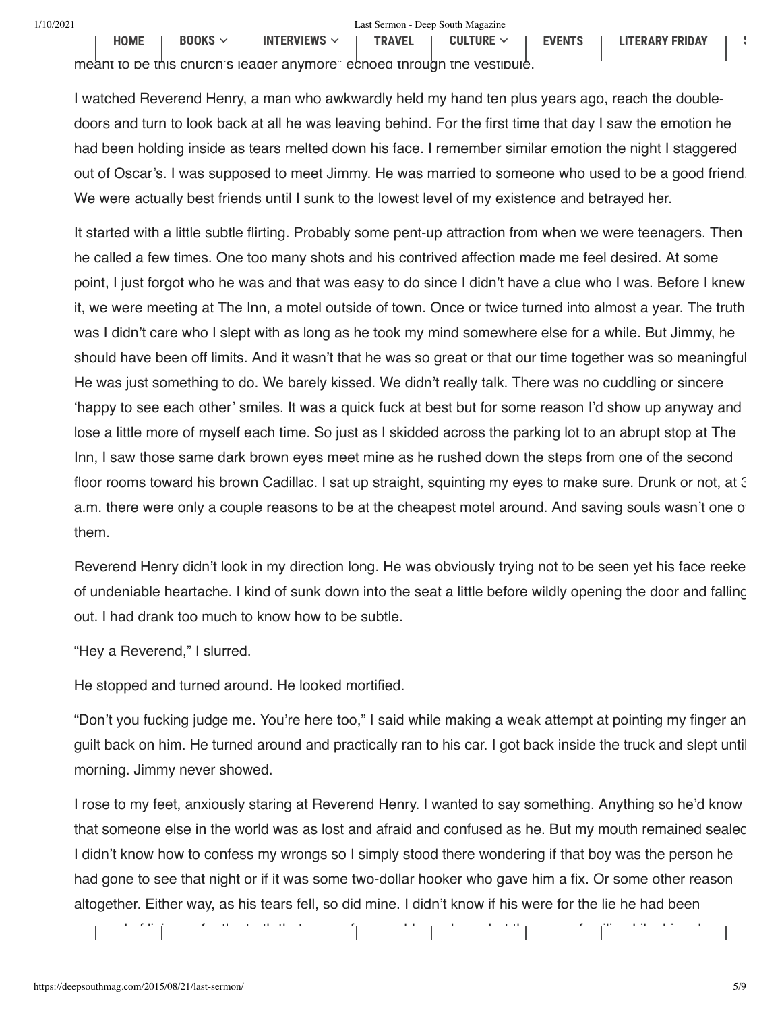meant to be this church s leader anymore echoed through the vestibule.

I watched Reverend Henry, a man who awkwardly held my hand ten plus years ago, reach the doubledoors and turn to look back at all he was leaving behind. For the first time that day I saw the emotion he had been holding inside as tears melted down his face. I remember similar emotion the night I staggered out of Oscar·s. I was supposed to meet Jimmy. He was married to someone who used to be a good friend. We were actually best friends until I sunk to the lowest level of my existence and betrayed her.

It started with a little subtle flirting. Probably some pent-up attraction from when we were teenagers. Then he called a few times. One too many shots and his contrived affection made me feel desired. At some point, I just forgot who he was and that was easy to do since I didn·t have a clue who I was. Before I knew it, we were meeting at The Inn, a motel outside of town. Once or twice turned into almost a year. The truth was I didn't care who I slept with as long as he took my mind somewhere else for a while. But Jimmy, he should have been off limits. And it wasn't that he was so great or that our time together was so meaningful He was just something to do. We barely kissed. We didn't really talk. There was no cuddling or sincere ¶happy to see each other· smiles. It was a quick fuck at best but for some reason I·d show up anyway and lose a little more of myself each time. So just as I skidded across the parking lot to an abrupt stop at The Inn, I saw those same dark brown eyes meet mine as he rushed down the steps from one of the second floor rooms toward his brown Cadillac. I sat up straight, squinting my eyes to make sure. Drunk or not, at 3 a.m. there were only a couple reasons to be at the cheapest motel around. And saving souls wasn't one of them.

Reverend Henry didn·t look in my direction long. He was obviously trying not to be seen yet his face reeke of undeniable heartache. I kind of sunk down into the seat a little before wildly opening the door and falling out. I had drank too much to know how to be subtle.

"Hey a Reverend," I slurred.

He stopped and turned around. He looked mortified.

"Don't you fucking judge me. You're here too," I said while making a weak attempt at pointing my finger an guilt back on him. He turned around and practically ran to his car. I got back inside the truck and slept until morning. Jimmy never showed.

I rose to my feet, anxiously staring at Reverend Henry. I wanted to say something. Anything so he·d know that someone else in the world was as lost and afraid and confused as he. But my mouth remained sealed I didn't know how to confess my wrongs so I simply stood there wondering if that boy was the person he had gone to see that night or if it was some two-dollar hooker who gave him a fix. Or some other reason altogether. Either way, as his tears fell, so did mine. I didn·t know if his were for the lie he had been

accused of living or for the truth that none of us would ever know but they were familiar. Like his release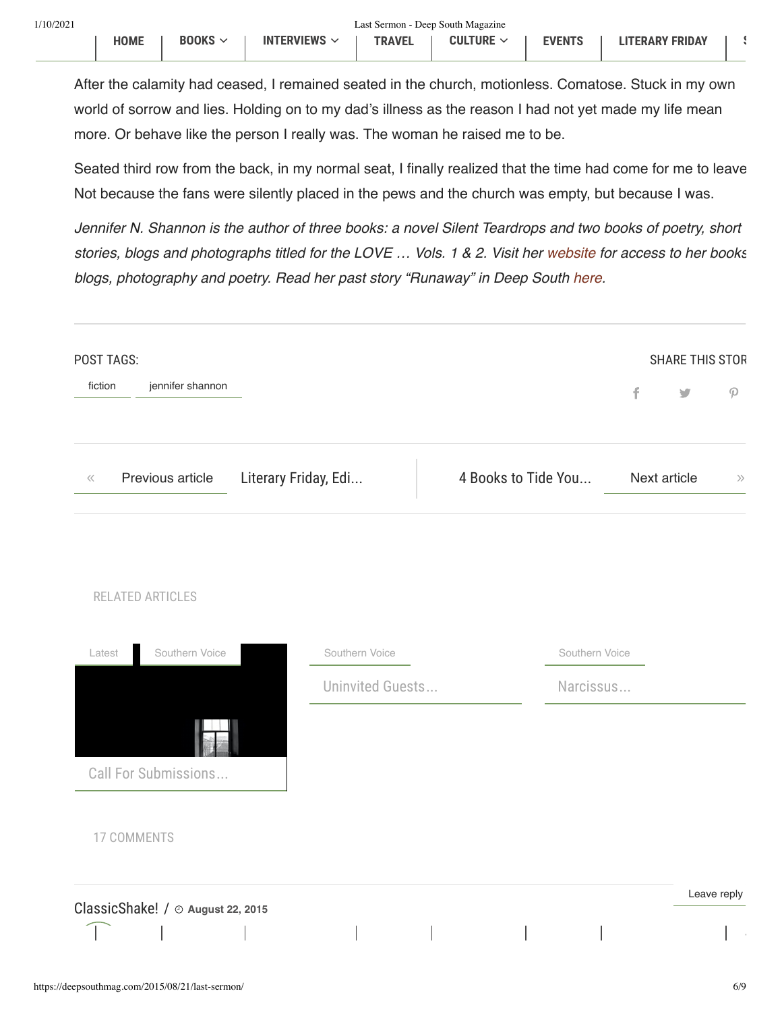**HOME** 

**BOOKS**  $\sim$ 

**INTERVIEWS**  $\sim$ 

 $\mathcal{L}_{\mathcal{A}}$ 

After the calamity had ceased, I remained seated in the church, motionless. Comatose. Stuck in my own world of sorrow and lies. Holding on to my dad's illness as the reason I had not yet made my life mean more. Or behave like the person I really was. The woman he raised me to be.

**TRAVEL** 

Seated third row from the back, in my normal seat, I finally realized that the time had come for me to leave Not because the fans were silently placed in the pews and the church was empty, but because I was.

Jennifer N. Shannon is the author of three books: a novel Silent Teardrops and two books of poetry, short stories, blogs and photographs titled for the LOVE ... Vols. 1 & 2. Visit her website for access to her books blogs, photography and poetry. Read her past story "Runaway" in Deep South here.

| POST TAGS:        |                                   |                      |                  |  |                     |                |              | <b>SHARE THIS STOR</b>   |
|-------------------|-----------------------------------|----------------------|------------------|--|---------------------|----------------|--------------|--------------------------|
| fiction           | jennifer shannon                  |                      |                  |  |                     |                | f            | $\overline{\phantom{a}}$ |
| $\langle \langle$ | Previous article                  | Literary Friday, Edi |                  |  | 4 Books to Tide You |                | Next article |                          |
|                   |                                   |                      |                  |  |                     |                |              |                          |
| RELATED ARTICLES  |                                   |                      |                  |  |                     |                |              |                          |
| Latest            | Southern Voice                    |                      | Southern Voice   |  |                     | Southern Voice |              |                          |
|                   |                                   |                      | Uninvited Guests |  |                     | Narcissus      |              |                          |
|                   |                                   |                      |                  |  |                     |                |              |                          |
|                   | Call For Submissions              |                      |                  |  |                     |                |              |                          |
| 17 COMMENTS       |                                   |                      |                  |  |                     |                |              |                          |
|                   | ClassicShake! / @ August 22, 2015 |                      |                  |  |                     |                |              | Leave reply              |
|                   |                                   |                      |                  |  |                     |                |              |                          |
|                   |                                   |                      |                  |  |                     |                |              |                          |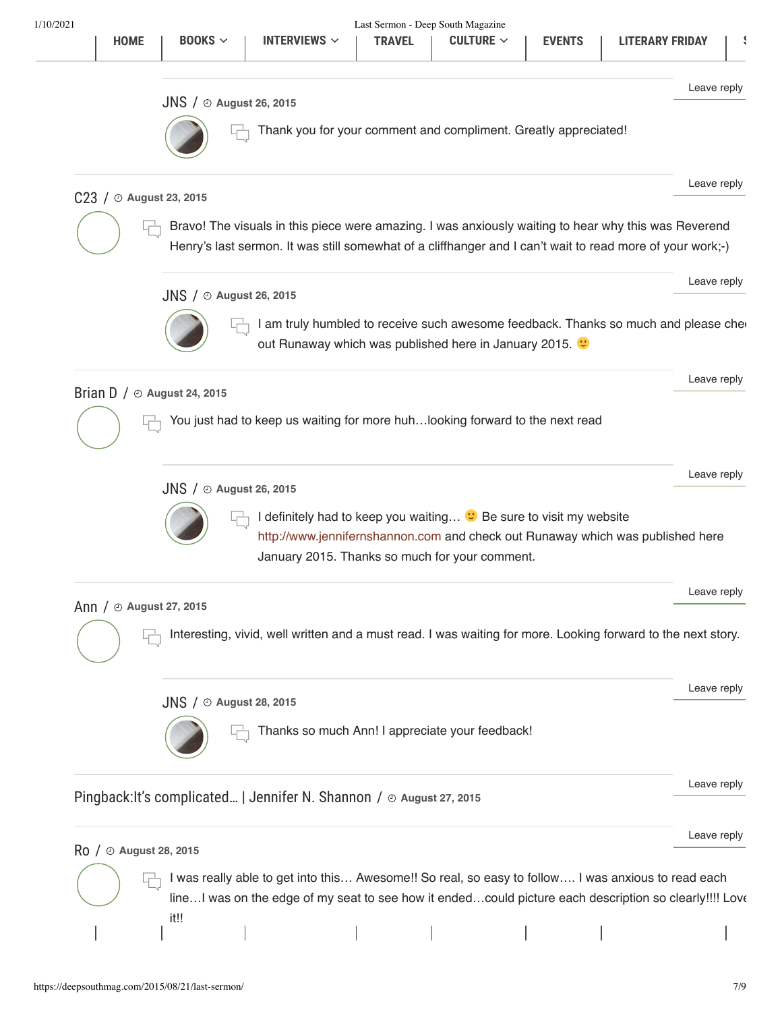became a lens, switching back and forth to capture the visuals of Penn\ and the Reverend. Brilliant!  $JNS / Q$  August 26, 2015  $\Box$  Thank you for your comment and compliment. Greatly appreciated! Leave reply  $C23 / O$  August 23, 2015 Bravo! The visuals in this piece were amazing. I was anxiously waiting to hear why this was Reverend Henry's last sermon. It was still somewhat of a cliffhanger and I can't wait to read more of your work;-) ǡ Leave reply  $JNS / O$  August 26, 2015 I am truly humbled to receive such awesome feedback. Thanks so much and please che out Runaway which was published here in January 2015. ǡ Leave reply Brian D  $/$   $\odot$  August 24, 2015 You just had to keep us waiting for more huh...looking forward to the next read Leave reply  $JNS / \odot$  August 26, 2015  $\Box$  I definitely had to keep you waiting...  $\heartsuit$  Be sure to visit my website http://www.jennifernshannon.com and check out Runaway which was published here January 2015. Thanks so much for your comment. Leave reply Ann /  $\odot$  August 27, 2015 Interesting, vivid, well written and a must read. I was waiting for more. Looking forward to the next story. Leave reply  $JNS / O$  August 28, 2015 Thanks so much Ann! I appreciate your feedback! Leave reply Pingback: It's complicated... | Jennifer N. Shannon /  $\odot$  August 27, 2015 Leave reply  $Ro$  /  $\odot$  August 28, 2015  $\Box$  I was really able to get into this… Awesome!! So real, so easy to follow.... I was anxious to read each line...I was on the edge of my seat to see how it ended...could picture each description so clearly!!!! Love it!! Leave reply **HOME BOOKS**  $\vee$  **I** INTERVIEWS  $\vee$  **I** TRAVEL **I** CULTURE  $\vee$  **I** EVENTS **I** LITERARY FRIDAY **I** S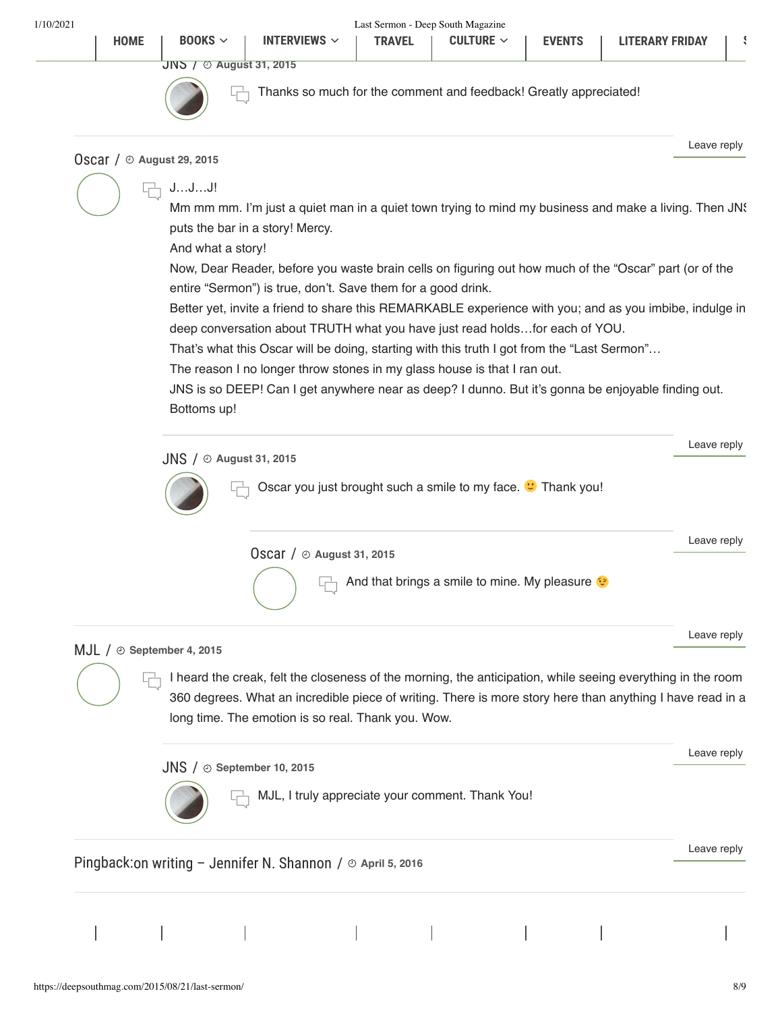$J$ NS  $J \odot$  August 31, 2015



Thanks so much for the comment and feedback! Greatly appreciated!

#### Oscar /  $\odot$  August 29, 2015

ǡ

Leave reply

## J...J...J!

Mm mm mm. I'm just a quiet man in a quiet town trying to mind my business and make a living. Then JNS puts the bar in a story! Mercy.

And what a story!

Now, Dear Reader, before you waste brain cells on figuring out how much of the "Oscar" part (or of the entire "Sermon") is true, don't. Save them for a good drink.

Better yet, invite a friend to share this REMARKABLE experience with you; and as you imbibe, indulge in deep conversation about TRUTH what you have just read holds...for each of YOU.

That's what this Oscar will be doing, starting with this truth I got from the "Last Sermon"...

The reason I no longer throw stones in my glass house is that I ran out.

JNS is so DEEP! Can I get anywhere near as deep? I dunno. But it's gonna be enjoyable finding out. Bottoms up!

| $JNS / \odot$ August 31, 2015                                                     | Leave reply |
|-----------------------------------------------------------------------------------|-------------|
| Oscar you just brought such a smile to my face. <sup>v</sup> Thank you!           |             |
| OSCar $/$ $\odot$ August 31, 2015<br>And that brings a smile to mine. My pleasure | Leave reply |

### $MJL / \odot$  September 4, 2015

 $\Box$  I heard the creak, felt the closeness of the morning, the anticipation, while seeing everything in the room 360 degrees. What an incredible piece of writing. There is more story here than anything I have read in a long time. The emotion is so real. Thank you. Wow.

 $JNS / \odot$  September 10, 2015

MJL, I truly appreciate your comment. Thank You!

Pingback: on writing - Jennifer N. Shannon /  $\odot$  April 5, 2016

Leave and the community

Leave reply

Leave reply

Leave reply